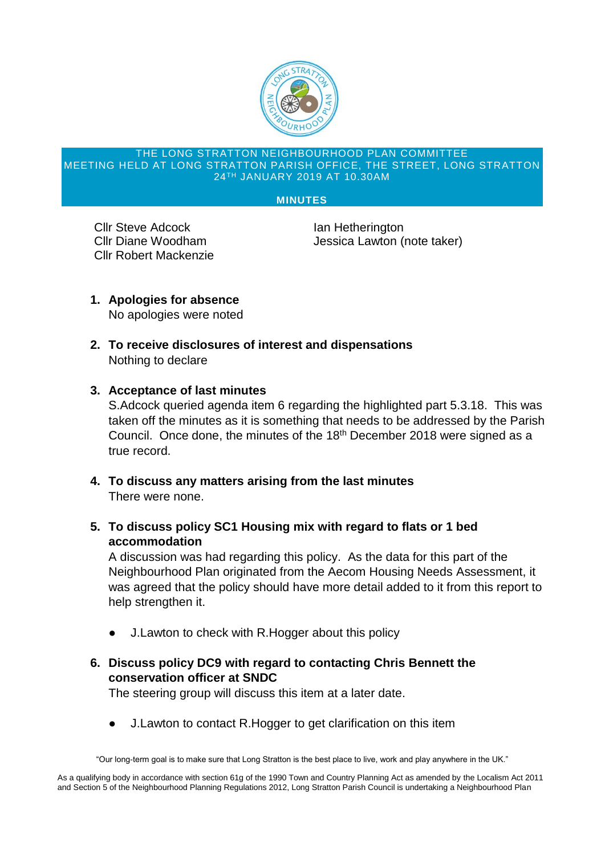

#### THE LONG STRATTON NEIGHBOURHOOD PLAN COMMITTEE MEETING HELD AT LONG STRATTON PARISH OFFICE, THE STREET, LONG STRATTON 24TH JANUARY 2019 AT 10.30AM

#### **MINUTES**

**Cllr Steve Adcock Ian Hetherington** Cllr Robert Mackenzie

Cllr Diane Woodham Jessica Lawton (note taker)

- **1. Apologies for absence** No apologies were noted
- **2. To receive disclosures of interest and dispensations** Nothing to declare

#### **3. Acceptance of last minutes**

S.Adcock queried agenda item 6 regarding the highlighted part 5.3.18. This was taken off the minutes as it is something that needs to be addressed by the Parish Council. Once done, the minutes of the 18<sup>th</sup> December 2018 were signed as a true record.

- **4. To discuss any matters arising from the last minutes** There were none.
- **5. To discuss policy SC1 Housing mix with regard to flats or 1 bed accommodation**

A discussion was had regarding this policy. As the data for this part of the Neighbourhood Plan originated from the Aecom Housing Needs Assessment, it was agreed that the policy should have more detail added to it from this report to help strengthen it.

- J. Lawton to check with R. Hogger about this policy
- **6. Discuss policy DC9 with regard to contacting Chris Bennett the conservation officer at SNDC**

The steering group will discuss this item at a later date.

J. Lawton to contact R. Hogger to get clarification on this item

"Our long-term goal is to make sure that Long Stratton is the best place to live, work and play anywhere in the UK."

As a qualifying body in accordance with section 61g of the 1990 Town and Country Planning Act as amended by the Localism Act 2011 and Section 5 of the Neighbourhood Planning Regulations 2012, Long Stratton Parish Council is undertaking a Neighbourhood Plan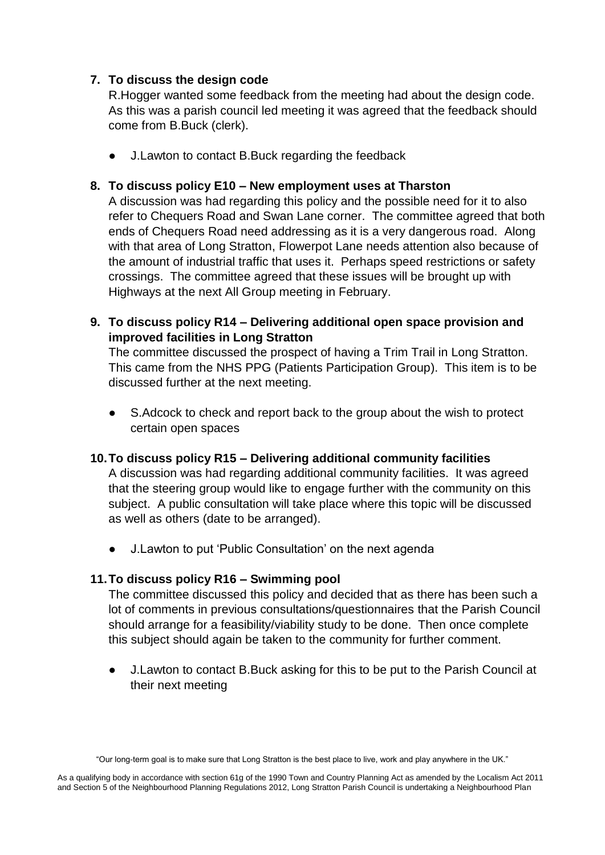# **7. To discuss the design code**

R.Hogger wanted some feedback from the meeting had about the design code. As this was a parish council led meeting it was agreed that the feedback should come from B.Buck (clerk).

J.Lawton to contact B.Buck regarding the feedback

# **8. To discuss policy E10 – New employment uses at Tharston**

A discussion was had regarding this policy and the possible need for it to also refer to Chequers Road and Swan Lane corner. The committee agreed that both ends of Chequers Road need addressing as it is a very dangerous road. Along with that area of Long Stratton, Flowerpot Lane needs attention also because of the amount of industrial traffic that uses it. Perhaps speed restrictions or safety crossings. The committee agreed that these issues will be brought up with Highways at the next All Group meeting in February.

**9. To discuss policy R14 – Delivering additional open space provision and improved facilities in Long Stratton**

The committee discussed the prospect of having a Trim Trail in Long Stratton. This came from the NHS PPG (Patients Participation Group). This item is to be discussed further at the next meeting.

S. Adcock to check and report back to the group about the wish to protect certain open spaces

#### **10.To discuss policy R15 – Delivering additional community facilities**

A discussion was had regarding additional community facilities. It was agreed that the steering group would like to engage further with the community on this subject. A public consultation will take place where this topic will be discussed as well as others (date to be arranged).

J.Lawton to put 'Public Consultation' on the next agenda

# **11.To discuss policy R16 – Swimming pool**

The committee discussed this policy and decided that as there has been such a lot of comments in previous consultations/questionnaires that the Parish Council should arrange for a feasibility/viability study to be done. Then once complete this subject should again be taken to the community for further comment.

J. Lawton to contact B. Buck asking for this to be put to the Parish Council at their next meeting

<sup>&</sup>quot;Our long-term goal is to make sure that Long Stratton is the best place to live, work and play anywhere in the UK."